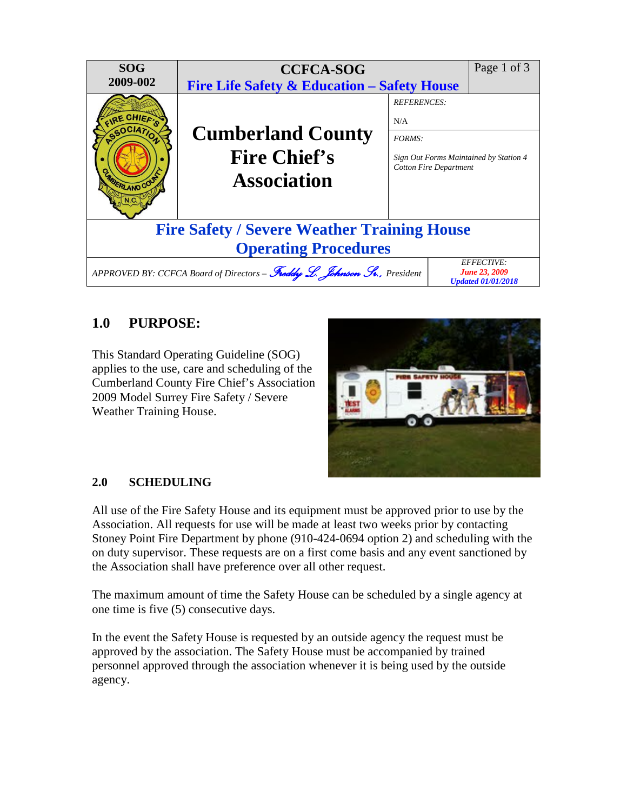

# **1.0 PURPOSE:**

This Standard Operating Guideline (SOG) applies to the use, care and scheduling of the Cumberland County Fire Chief's Association 2009 Model Surrey Fire Safety / Severe Weather Training House.



## **2.0 SCHEDULING**

All use of the Fire Safety House and its equipment must be approved prior to use by the Association. All requests for use will be made at least two weeks prior by contacting Stoney Point Fire Department by phone (910-424-0694 option 2) and scheduling with the on duty supervisor. These requests are on a first come basis and any event sanctioned by the Association shall have preference over all other request.

The maximum amount of time the Safety House can be scheduled by a single agency at one time is five (5) consecutive days.

In the event the Safety House is requested by an outside agency the request must be approved by the association. The Safety House must be accompanied by trained personnel approved through the association whenever it is being used by the outside agency.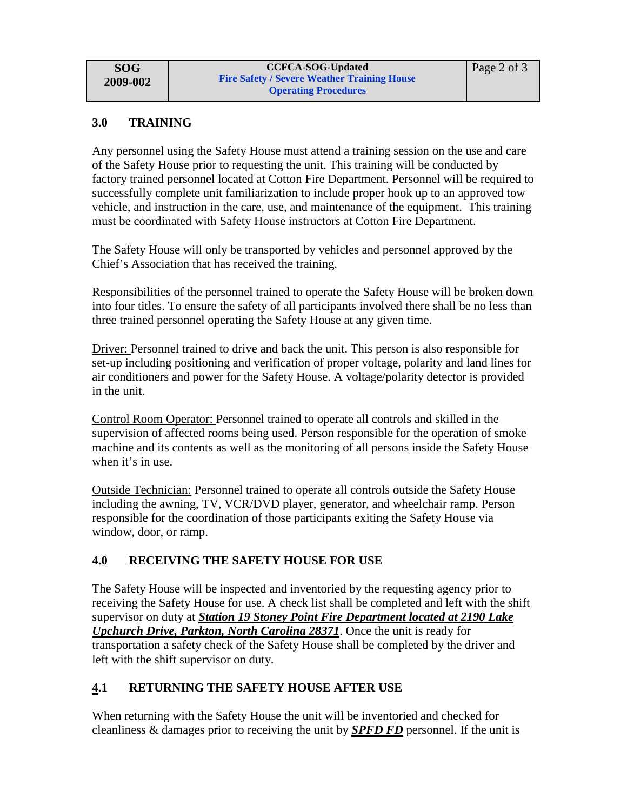#### **3.0 TRAINING**

Any personnel using the Safety House must attend a training session on the use and care of the Safety House prior to requesting the unit. This training will be conducted by factory trained personnel located at Cotton Fire Department. Personnel will be required to successfully complete unit familiarization to include proper hook up to an approved tow vehicle, and instruction in the care, use, and maintenance of the equipment. This training must be coordinated with Safety House instructors at Cotton Fire Department.

The Safety House will only be transported by vehicles and personnel approved by the Chief's Association that has received the training.

Responsibilities of the personnel trained to operate the Safety House will be broken down into four titles. To ensure the safety of all participants involved there shall be no less than three trained personnel operating the Safety House at any given time.

Driver: Personnel trained to drive and back the unit. This person is also responsible for set-up including positioning and verification of proper voltage, polarity and land lines for air conditioners and power for the Safety House. A voltage/polarity detector is provided in the unit.

Control Room Operator: Personnel trained to operate all controls and skilled in the supervision of affected rooms being used. Person responsible for the operation of smoke machine and its contents as well as the monitoring of all persons inside the Safety House when it's in use.

Outside Technician: Personnel trained to operate all controls outside the Safety House including the awning, TV, VCR/DVD player, generator, and wheelchair ramp. Person responsible for the coordination of those participants exiting the Safety House via window, door, or ramp.

## **4.0 RECEIVING THE SAFETY HOUSE FOR USE**

The Safety House will be inspected and inventoried by the requesting agency prior to receiving the Safety House for use. A check list shall be completed and left with the shift supervisor on duty at *Station 19 Stoney Point Fire Department located at 2190 Lake Upchurch Drive, Parkton, North Carolina 28371*. Once the unit is ready for transportation a safety check of the Safety House shall be completed by the driver and left with the shift supervisor on duty.

## **4.1 RETURNING THE SAFETY HOUSE AFTER USE**

When returning with the Safety House the unit will be inventoried and checked for cleanliness & damages prior to receiving the unit by *SPFD FD* personnel. If the unit is